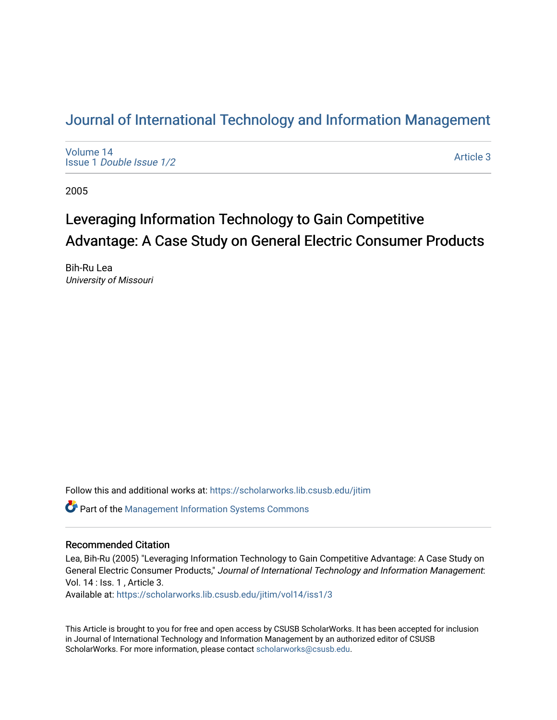# [Journal of International Technology and Information Management](https://scholarworks.lib.csusb.edu/jitim)

[Volume 14](https://scholarworks.lib.csusb.edu/jitim/vol14) Issue 1 [Double Issue 1/2](https://scholarworks.lib.csusb.edu/jitim/vol14/iss1) 

[Article 3](https://scholarworks.lib.csusb.edu/jitim/vol14/iss1/3) 

2005

# Leveraging Information Technology to Gain Competitive Advantage: A Case Study on General Electric Consumer Products

Bih-Ru Lea University of Missouri

Follow this and additional works at: [https://scholarworks.lib.csusb.edu/jitim](https://scholarworks.lib.csusb.edu/jitim?utm_source=scholarworks.lib.csusb.edu%2Fjitim%2Fvol14%2Fiss1%2F3&utm_medium=PDF&utm_campaign=PDFCoverPages) 

Part of the [Management Information Systems Commons](http://network.bepress.com/hgg/discipline/636?utm_source=scholarworks.lib.csusb.edu%2Fjitim%2Fvol14%2Fiss1%2F3&utm_medium=PDF&utm_campaign=PDFCoverPages) 

#### Recommended Citation

Lea, Bih-Ru (2005) "Leveraging Information Technology to Gain Competitive Advantage: A Case Study on General Electric Consumer Products," Journal of International Technology and Information Management: Vol. 14 : Iss. 1 , Article 3.

Available at: [https://scholarworks.lib.csusb.edu/jitim/vol14/iss1/3](https://scholarworks.lib.csusb.edu/jitim/vol14/iss1/3?utm_source=scholarworks.lib.csusb.edu%2Fjitim%2Fvol14%2Fiss1%2F3&utm_medium=PDF&utm_campaign=PDFCoverPages) 

This Article is brought to you for free and open access by CSUSB ScholarWorks. It has been accepted for inclusion in Journal of International Technology and Information Management by an authorized editor of CSUSB ScholarWorks. For more information, please contact [scholarworks@csusb.edu.](mailto:scholarworks@csusb.edu)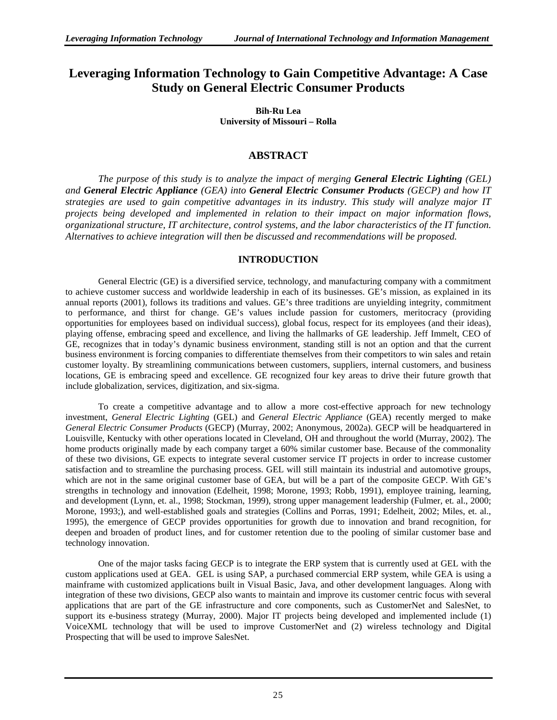# **Leveraging Information Technology to Gain Competitive Advantage: A Case Study on General Electric Consumer Products**

**Bih-Ru Lea University of Missouri – Rolla**

# **ABSTRACT**

*The purpose of this study is to analyze the impact of merging General Electric Lighting (GEL) and General Electric Appliance (GEA) into General Electric Consumer Products (GECP) and how IT strategies are used to gain competitive advantages in its industry. This study will analyze major IT projects being developed and implemented in relation to their impact on major information flows, organizational structure, IT architecture, control systems, and the labor characteristics of the IT function. Alternatives to achieve integration will then be discussed and recommendations will be proposed.* 

# **INTRODUCTION**

General Electric (GE) is a diversified service, technology, and manufacturing company with a commitment to achieve customer success and worldwide leadership in each of its businesses. GE's mission, as explained in its annual reports (2001), follows its traditions and values. GE's three traditions are unyielding integrity, commitment to performance, and thirst for change. GE's values include passion for customers, meritocracy (providing opportunities for employees based on individual success), global focus, respect for its employees (and their ideas), playing offense, embracing speed and excellence, and living the hallmarks of GE leadership. Jeff Immelt, CEO of GE, recognizes that in today's dynamic business environment, standing still is not an option and that the current business environment is forcing companies to differentiate themselves from their competitors to win sales and retain customer loyalty. By streamlining communications between customers, suppliers, internal customers, and business locations, GE is embracing speed and excellence. GE recognized four key areas to drive their future growth that include globalization, services, digitization, and six-sigma.

To create a competitive advantage and to allow a more cost-effective approach for new technology investment, *General Electric Lighting* (GEL) and *General Electric Appliance* (GEA) recently merged to make *General Electric Consumer Products* (GECP) (Murray, 2002; Anonymous, 2002a). GECP will be headquartered in Louisville, Kentucky with other operations located in Cleveland, OH and throughout the world (Murray, 2002). The home products originally made by each company target a 60% similar customer base. Because of the commonality of these two divisions, GE expects to integrate several customer service IT projects in order to increase customer satisfaction and to streamline the purchasing process. GEL will still maintain its industrial and automotive groups, which are not in the same original customer base of GEA, but will be a part of the composite GECP. With GE's strengths in technology and innovation (Edelheit, 1998; Morone, 1993; Robb, 1991), employee training, learning, and development (Lynn, et. al., 1998; Stockman, 1999), strong upper management leadership (Fulmer, et. al., 2000; Morone, 1993;), and well-established goals and strategies (Collins and Porras, 1991; Edelheit, 2002; Miles, et. al., 1995), the emergence of GECP provides opportunities for growth due to innovation and brand recognition, for deepen and broaden of product lines, and for customer retention due to the pooling of similar customer base and technology innovation.

One of the major tasks facing GECP is to integrate the ERP system that is currently used at GEL with the custom applications used at GEA. GEL is using SAP, a purchased commercial ERP system, while GEA is using a mainframe with customized applications built in Visual Basic, Java, and other development languages. Along with integration of these two divisions, GECP also wants to maintain and improve its customer centric focus with several applications that are part of the GE infrastructure and core components, such as CustomerNet and SalesNet, to support its e-business strategy (Murray, 2000). Major IT projects being developed and implemented include (1) VoiceXML technology that will be used to improve CustomerNet and (2) wireless technology and Digital Prospecting that will be used to improve SalesNet.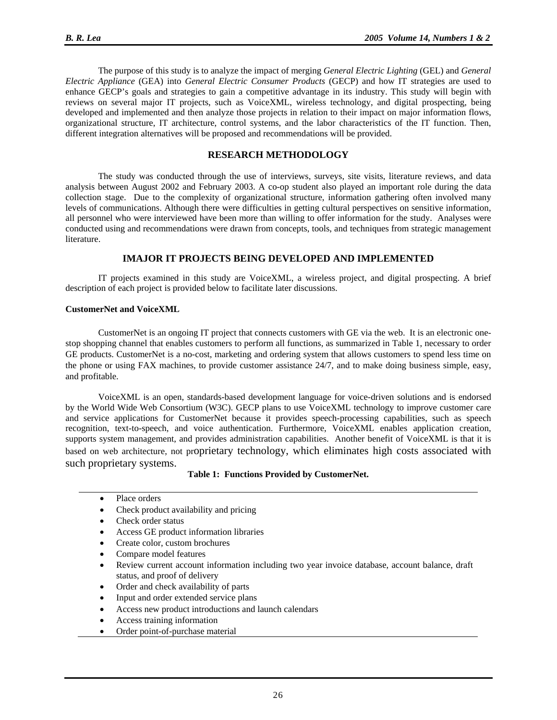The purpose of this study is to analyze the impact of merging *General Electric Lighting* (GEL) and *General Electric Appliance* (GEA) into *General Electric Consumer Products* (GECP) and how IT strategies are used to enhance GECP's goals and strategies to gain a competitive advantage in its industry. This study will begin with reviews on several major IT projects, such as VoiceXML, wireless technology, and digital prospecting, being developed and implemented and then analyze those projects in relation to their impact on major information flows, organizational structure, IT architecture, control systems, and the labor characteristics of the IT function. Then, different integration alternatives will be proposed and recommendations will be provided.

# **RESEARCH METHODOLOGY**

The study was conducted through the use of interviews, surveys, site visits, literature reviews, and data analysis between August 2002 and February 2003. A co-op student also played an important role during the data collection stage. Due to the complexity of organizational structure, information gathering often involved many levels of communications. Although there were difficulties in getting cultural perspectives on sensitive information, all personnel who were interviewed have been more than willing to offer information for the study. Analyses were conducted using and recommendations were drawn from concepts, tools, and techniques from strategic management literature.

#### **IMAJOR IT PROJECTS BEING DEVELOPED AND IMPLEMENTED**

IT projects examined in this study are VoiceXML, a wireless project, and digital prospecting. A brief description of each project is provided below to facilitate later discussions.

#### **CustomerNet and VoiceXML**

CustomerNet is an ongoing IT project that connects customers with GE via the web. It is an electronic onestop shopping channel that enables customers to perform all functions, as summarized in Table 1, necessary to order GE products. CustomerNet is a no-cost, marketing and ordering system that allows customers to spend less time on the phone or using FAX machines, to provide customer assistance 24/7, and to make doing business simple, easy, and profitable.

VoiceXML is an open, standards-based development language for voice-driven solutions and is endorsed by the World Wide Web Consortium (W3C). GECP plans to use VoiceXML technology to improve customer care and service applications for CustomerNet because it provides speech-processing capabilities, such as speech recognition, text-to-speech, and voice authentication. Furthermore, VoiceXML enables application creation, supports system management, and provides administration capabilities. Another benefit of VoiceXML is that it is based on web architecture, not proprietary technology, which eliminates high costs associated with such proprietary systems.

**Table 1: Functions Provided by CustomerNet.** 

- Place orders
- Check product availability and pricing
- Check order status
- Access GE product information libraries
- Create color, custom brochures
- Compare model features
- Review current account information including two year invoice database, account balance, draft status, and proof of delivery
- Order and check availability of parts
- Input and order extended service plans
- Access new product introductions and launch calendars
- Access training information
- Order point-of-purchase material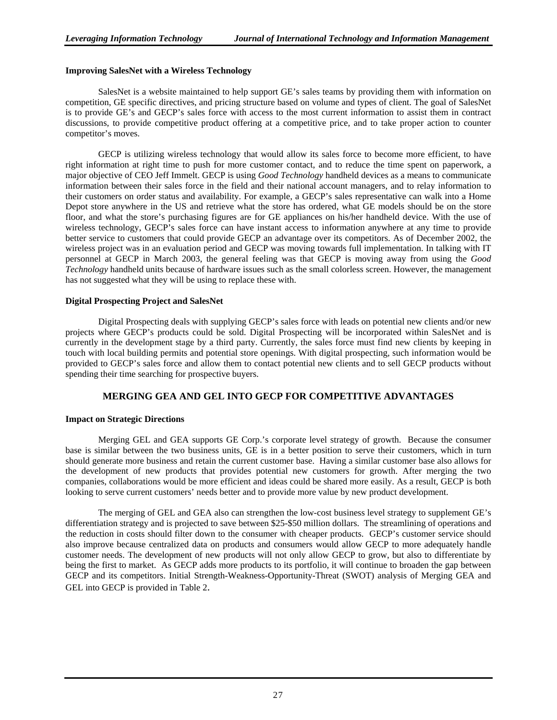#### **Improving SalesNet with a Wireless Technology**

SalesNet is a website maintained to help support GE's sales teams by providing them with information on competition, GE specific directives, and pricing structure based on volume and types of client. The goal of SalesNet is to provide GE's and GECP's sales force with access to the most current information to assist them in contract discussions, to provide competitive product offering at a competitive price, and to take proper action to counter competitor's moves.

GECP is utilizing wireless technology that would allow its sales force to become more efficient, to have right information at right time to push for more customer contact, and to reduce the time spent on paperwork, a major objective of CEO Jeff Immelt. GECP is using *Good Technology* handheld devices as a means to communicate information between their sales force in the field and their national account managers, and to relay information to their customers on order status and availability. For example, a GECP's sales representative can walk into a Home Depot store anywhere in the US and retrieve what the store has ordered, what GE models should be on the store floor, and what the store's purchasing figures are for GE appliances on his/her handheld device. With the use of wireless technology, GECP's sales force can have instant access to information anywhere at any time to provide better service to customers that could provide GECP an advantage over its competitors. As of December 2002, the wireless project was in an evaluation period and GECP was moving towards full implementation. In talking with IT personnel at GECP in March 2003, the general feeling was that GECP is moving away from using the *Good Technology* handheld units because of hardware issues such as the small colorless screen. However, the management has not suggested what they will be using to replace these with.

#### **Digital Prospecting Project and SalesNet**

Digital Prospecting deals with supplying GECP's sales force with leads on potential new clients and/or new projects where GECP's products could be sold. Digital Prospecting will be incorporated within SalesNet and is currently in the development stage by a third party. Currently, the sales force must find new clients by keeping in touch with local building permits and potential store openings. With digital prospecting, such information would be provided to GECP's sales force and allow them to contact potential new clients and to sell GECP products without spending their time searching for prospective buyers.

#### **MERGING GEA AND GEL INTO GECP FOR COMPETITIVE ADVANTAGES**

#### **Impact on Strategic Directions**

Merging GEL and GEA supports GE Corp.'s corporate level strategy of growth. Because the consumer base is similar between the two business units, GE is in a better position to serve their customers, which in turn should generate more business and retain the current customer base. Having a similar customer base also allows for the development of new products that provides potential new customers for growth. After merging the two companies, collaborations would be more efficient and ideas could be shared more easily. As a result, GECP is both looking to serve current customers' needs better and to provide more value by new product development.

The merging of GEL and GEA also can strengthen the low-cost business level strategy to supplement GE's differentiation strategy and is projected to save between \$25-\$50 million dollars. The streamlining of operations and the reduction in costs should filter down to the consumer with cheaper products. GECP's customer service should also improve because centralized data on products and consumers would allow GECP to more adequately handle customer needs. The development of new products will not only allow GECP to grow, but also to differentiate by being the first to market. As GECP adds more products to its portfolio, it will continue to broaden the gap between GECP and its competitors. Initial Strength-Weakness-Opportunity-Threat (SWOT) analysis of Merging GEA and GEL into GECP is provided in Table 2.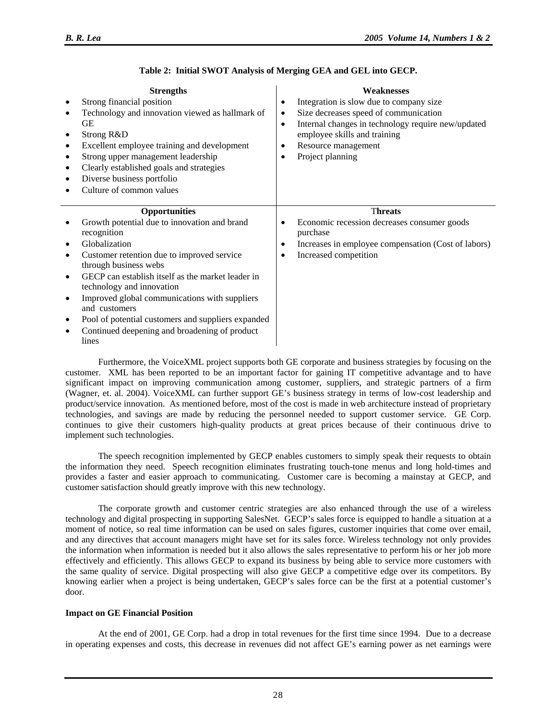| <b>Strengths</b><br>Strong financial position<br>$\bullet$<br>Technology and innovation viewed as hallmark of<br>$\bullet$<br>GЕ<br>Strong R&D<br>$\bullet$<br>Excellent employee training and development<br>$\bullet$<br>Strong upper management leadership<br>$\bullet$<br>Clearly established goals and strategies<br>$\bullet$<br>Diverse business portfolio<br>$\bullet$<br>Culture of common values                                                                                                                                 | <b>Weaknesses</b><br>Integration is slow due to company size<br>$\bullet$<br>Size decreases speed of communication<br>$\bullet$<br>Internal changes in technology require new/updated<br>$\bullet$<br>employee skills and training<br>Resource management<br>$\bullet$<br>Project planning<br>$\bullet$ |
|--------------------------------------------------------------------------------------------------------------------------------------------------------------------------------------------------------------------------------------------------------------------------------------------------------------------------------------------------------------------------------------------------------------------------------------------------------------------------------------------------------------------------------------------|---------------------------------------------------------------------------------------------------------------------------------------------------------------------------------------------------------------------------------------------------------------------------------------------------------|
| <b>Opportunities</b><br>Growth potential due to innovation and brand<br>$\bullet$<br>recognition<br>Globalization<br>$\bullet$<br>Customer retention due to improved service<br>$\bullet$<br>through business webs<br>GECP can establish itself as the market leader in<br>$\bullet$<br>technology and innovation<br>Improved global communications with suppliers<br>$\bullet$<br>and customers<br>Pool of potential customers and suppliers expanded<br>$\bullet$<br>Continued deepening and broadening of product<br>$\bullet$<br>lines | <b>Threats</b><br>Economic recession decreases consumer goods<br>$\bullet$<br>purchase<br>Increases in employee compensation (Cost of labors)<br>$\bullet$<br>Increased competition                                                                                                                     |

# **Table 2: Initial SWOT Analysis of Merging GEA and GEL into GECP.**

Furthermore, the VoiceXML project supports both GE corporate and business strategies by focusing on the customer. XML has been reported to be an important factor for gaining IT competitive advantage and to have significant impact on improving communication among customer, suppliers, and strategic partners of a firm (Wagner, et. al. 2004). VoiceXML can further support GE's business strategy in terms of low-cost leadership and product/service innovation. As mentioned before, most of the cost is made in web architecture instead of proprietary technologies, and savings are made by reducing the personnel needed to support customer service. GE Corp. continues to give their customers high-quality products at great prices because of their continuous drive to implement such technologies.

The speech recognition implemented by GECP enables customers to simply speak their requests to obtain the information they need. Speech recognition eliminates frustrating touch-tone menus and long hold-times and provides a faster and easier approach to communicating. Customer care is becoming a mainstay at GECP, and customer satisfaction should greatly improve with this new technology.

The corporate growth and customer centric strategies are also enhanced through the use of a wireless technology and digital prospecting in supporting SalesNet. GECP's sales force is equipped to handle a situation at a moment of notice, so real time information can be used on sales figures, customer inquiries that come over email, and any directives that account managers might have set for its sales force. Wireless technology not only provides the information when information is needed but it also allows the sales representative to perform his or her job more effectively and efficiently. This allows GECP to expand its business by being able to service more customers with the same quality of service. Digital prospecting will also give GECP a competitive edge over its competitors. By knowing earlier when a project is being undertaken, GECP's sales force can be the first at a potential customer's door.

# **Impact on GE Financial Position**

At the end of 2001, GE Corp. had a drop in total revenues for the first time since 1994. Due to a decrease in operating expenses and costs, this decrease in revenues did not affect GE's earning power as net earnings were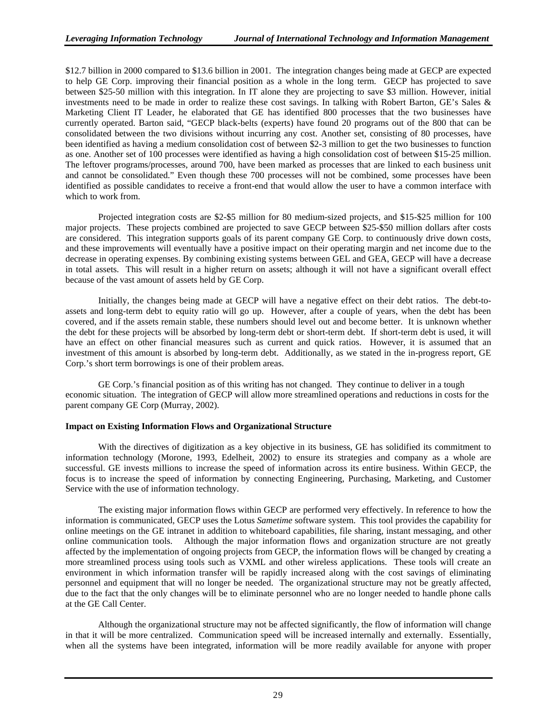\$12.7 billion in 2000 compared to \$13.6 billion in 2001. The integration changes being made at GECP are expected to help GE Corp. improving their financial position as a whole in the long term. GECP has projected to save between \$25-50 million with this integration. In IT alone they are projecting to save \$3 million. However, initial investments need to be made in order to realize these cost savings. In talking with Robert Barton, GE's Sales & Marketing Client IT Leader, he elaborated that GE has identified 800 processes that the two businesses have currently operated. Barton said, "GECP black-belts (experts) have found 20 programs out of the 800 that can be consolidated between the two divisions without incurring any cost. Another set, consisting of 80 processes, have been identified as having a medium consolidation cost of between \$2-3 million to get the two businesses to function as one. Another set of 100 processes were identified as having a high consolidation cost of between \$15-25 million. The leftover programs/processes, around 700, have been marked as processes that are linked to each business unit and cannot be consolidated." Even though these 700 processes will not be combined, some processes have been identified as possible candidates to receive a front-end that would allow the user to have a common interface with which to work from.

Projected integration costs are \$2-\$5 million for 80 medium-sized projects, and \$15-\$25 million for 100 major projects. These projects combined are projected to save GECP between \$25-\$50 million dollars after costs are considered. This integration supports goals of its parent company GE Corp. to continuously drive down costs, and these improvements will eventually have a positive impact on their operating margin and net income due to the decrease in operating expenses. By combining existing systems between GEL and GEA, GECP will have a decrease in total assets. This will result in a higher return on assets; although it will not have a significant overall effect because of the vast amount of assets held by GE Corp.

Initially, the changes being made at GECP will have a negative effect on their debt ratios. The debt-toassets and long-term debt to equity ratio will go up. However, after a couple of years, when the debt has been covered, and if the assets remain stable, these numbers should level out and become better. It is unknown whether the debt for these projects will be absorbed by long-term debt or short-term debt. If short-term debt is used, it will have an effect on other financial measures such as current and quick ratios. However, it is assumed that an investment of this amount is absorbed by long-term debt. Additionally, as we stated in the in-progress report, GE Corp.'s short term borrowings is one of their problem areas.

GE Corp.'s financial position as of this writing has not changed. They continue to deliver in a tough economic situation. The integration of GECP will allow more streamlined operations and reductions in costs for the parent company GE Corp (Murray, 2002).

#### **Impact on Existing Information Flows and Organizational Structure**

With the directives of digitization as a key objective in its business, GE has solidified its commitment to information technology (Morone, 1993, Edelheit, 2002) to ensure its strategies and company as a whole are successful. GE invests millions to increase the speed of information across its entire business. Within GECP, the focus is to increase the speed of information by connecting Engineering, Purchasing, Marketing, and Customer Service with the use of information technology.

The existing major information flows within GECP are performed very effectively. In reference to how the information is communicated, GECP uses the Lotus *Sametime* software system. This tool provides the capability for online meetings on the GE intranet in addition to whiteboard capabilities, file sharing, instant messaging, and other online communication tools. Although the major information flows and organization structure are not greatly affected by the implementation of ongoing projects from GECP, the information flows will be changed by creating a more streamlined process using tools such as VXML and other wireless applications. These tools will create an environment in which information transfer will be rapidly increased along with the cost savings of eliminating personnel and equipment that will no longer be needed. The organizational structure may not be greatly affected, due to the fact that the only changes will be to eliminate personnel who are no longer needed to handle phone calls at the GE Call Center.

Although the organizational structure may not be affected significantly, the flow of information will change in that it will be more centralized. Communication speed will be increased internally and externally. Essentially, when all the systems have been integrated, information will be more readily available for anyone with proper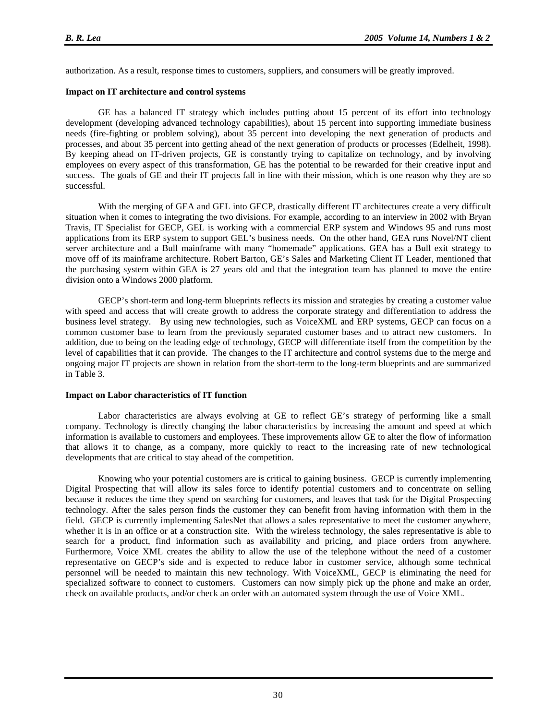authorization. As a result, response times to customers, suppliers, and consumers will be greatly improved.

#### **Impact on IT architecture and control systems**

GE has a balanced IT strategy which includes putting about 15 percent of its effort into technology development (developing advanced technology capabilities), about 15 percent into supporting immediate business needs (fire-fighting or problem solving), about 35 percent into developing the next generation of products and processes, and about 35 percent into getting ahead of the next generation of products or processes (Edelheit, 1998). By keeping ahead on IT-driven projects, GE is constantly trying to capitalize on technology, and by involving employees on every aspect of this transformation, GE has the potential to be rewarded for their creative input and success. The goals of GE and their IT projects fall in line with their mission, which is one reason why they are so successful.

With the merging of GEA and GEL into GECP, drastically different IT architectures create a very difficult situation when it comes to integrating the two divisions. For example, according to an interview in 2002 with Bryan Travis, IT Specialist for GECP, GEL is working with a commercial ERP system and Windows 95 and runs most applications from its ERP system to support GEL's business needs. On the other hand, GEA runs Novel/NT client server architecture and a Bull mainframe with many "homemade" applications. GEA has a Bull exit strategy to move off of its mainframe architecture. Robert Barton, GE's Sales and Marketing Client IT Leader, mentioned that the purchasing system within GEA is 27 years old and that the integration team has planned to move the entire division onto a Windows 2000 platform.

GECP's short-term and long-term blueprints reflects its mission and strategies by creating a customer value with speed and access that will create growth to address the corporate strategy and differentiation to address the business level strategy. By using new technologies, such as VoiceXML and ERP systems, GECP can focus on a common customer base to learn from the previously separated customer bases and to attract new customers. In addition, due to being on the leading edge of technology, GECP will differentiate itself from the competition by the level of capabilities that it can provide. The changes to the IT architecture and control systems due to the merge and ongoing major IT projects are shown in relation from the short-term to the long-term blueprints and are summarized in Table 3.

#### **Impact on Labor characteristics of IT function**

Labor characteristics are always evolving at GE to reflect GE's strategy of performing like a small company. Technology is directly changing the labor characteristics by increasing the amount and speed at which information is available to customers and employees. These improvements allow GE to alter the flow of information that allows it to change, as a company, more quickly to react to the increasing rate of new technological developments that are critical to stay ahead of the competition.

Knowing who your potential customers are is critical to gaining business. GECP is currently implementing Digital Prospecting that will allow its sales force to identify potential customers and to concentrate on selling because it reduces the time they spend on searching for customers, and leaves that task for the Digital Prospecting technology. After the sales person finds the customer they can benefit from having information with them in the field. GECP is currently implementing SalesNet that allows a sales representative to meet the customer anywhere, whether it is in an office or at a construction site. With the wireless technology, the sales representative is able to search for a product, find information such as availability and pricing, and place orders from anywhere. Furthermore, Voice XML creates the ability to allow the use of the telephone without the need of a customer representative on GECP's side and is expected to reduce labor in customer service, although some technical personnel will be needed to maintain this new technology. With VoiceXML, GECP is eliminating the need for specialized software to connect to customers. Customers can now simply pick up the phone and make an order, check on available products, and/or check an order with an automated system through the use of Voice XML.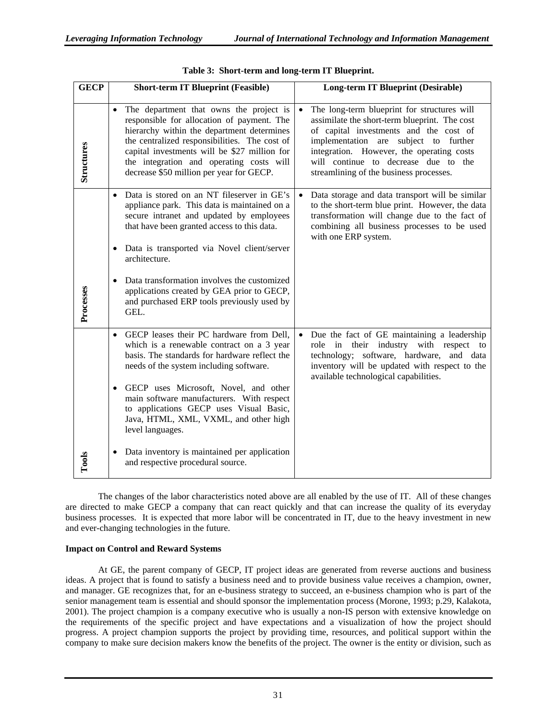| <b>GECP</b> | <b>Short-term IT Blueprint (Feasible)</b>                                                                                                                                                                                                                                                                                                                                                                                                                                                           | Long-term IT Blueprint (Desirable)                                                                                                                                                                                                                                                                                           |
|-------------|-----------------------------------------------------------------------------------------------------------------------------------------------------------------------------------------------------------------------------------------------------------------------------------------------------------------------------------------------------------------------------------------------------------------------------------------------------------------------------------------------------|------------------------------------------------------------------------------------------------------------------------------------------------------------------------------------------------------------------------------------------------------------------------------------------------------------------------------|
| Structures  | The department that owns the project is<br>$\bullet$<br>responsible for allocation of payment. The<br>hierarchy within the department determines<br>the centralized responsibilities. The cost of<br>capital investments will be \$27 million for<br>the integration and operating costs will<br>decrease \$50 million per year for GECP.                                                                                                                                                           | The long-term blueprint for structures will<br>$\bullet$<br>assimilate the short-term blueprint. The cost<br>of capital investments and the cost of<br>implementation are subject to further<br>integration. However, the operating costs<br>will continue to decrease due to the<br>streamlining of the business processes. |
| Processes   | • Data is stored on an NT fileserver in GE's<br>appliance park. This data is maintained on a<br>secure intranet and updated by employees<br>that have been granted access to this data.<br>Data is transported via Novel client/server<br>٠<br>architecture.<br>Data transformation involves the customized<br>$\bullet$<br>applications created by GEA prior to GECP,<br>and purchased ERP tools previously used by<br>GEL.                                                                        | Data storage and data transport will be similar<br>to the short-term blue print. However, the data<br>transformation will change due to the fact of<br>combining all business processes to be used<br>with one ERP system.                                                                                                   |
| Tools       | GECP leases their PC hardware from Dell,<br>$\bullet$<br>which is a renewable contract on a 3 year<br>basis. The standards for hardware reflect the<br>needs of the system including software.<br>GECP uses Microsoft, Novel, and other<br>$\bullet$<br>main software manufacturers. With respect<br>to applications GECP uses Visual Basic,<br>Java, HTML, XML, VXML, and other high<br>level languages.<br>Data inventory is maintained per application<br>٠<br>and respective procedural source. | Due the fact of GE maintaining a leadership<br>role in their industry with respect to<br>technology; software, hardware, and data<br>inventory will be updated with respect to the<br>available technological capabilities.                                                                                                  |

| Table 3: Short-term and long-term IT Blueprint. |  |  |  |  |  |
|-------------------------------------------------|--|--|--|--|--|
|-------------------------------------------------|--|--|--|--|--|

The changes of the labor characteristics noted above are all enabled by the use of IT. All of these changes are directed to make GECP a company that can react quickly and that can increase the quality of its everyday business processes. It is expected that more labor will be concentrated in IT, due to the heavy investment in new and ever-changing technologies in the future.

#### **Impact on Control and Reward Systems**

At GE, the parent company of GECP, IT project ideas are generated from reverse auctions and business ideas. A project that is found to satisfy a business need and to provide business value receives a champion, owner, and manager. GE recognizes that, for an e-business strategy to succeed, an e-business champion who is part of the senior management team is essential and should sponsor the implementation process (Morone, 1993; p.29, Kalakota, 2001). The project champion is a company executive who is usually a non-IS person with extensive knowledge on the requirements of the specific project and have expectations and a visualization of how the project should progress. A project champion supports the project by providing time, resources, and political support within the company to make sure decision makers know the benefits of the project. The owner is the entity or division, such as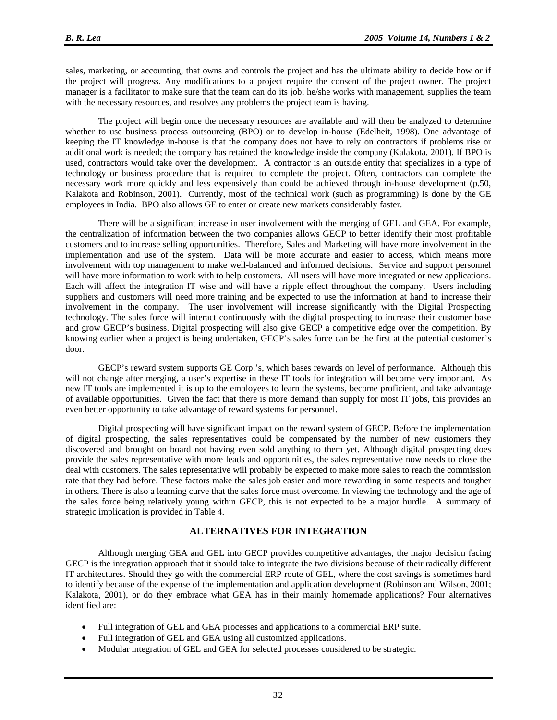sales, marketing, or accounting, that owns and controls the project and has the ultimate ability to decide how or if the project will progress. Any modifications to a project require the consent of the project owner. The project manager is a facilitator to make sure that the team can do its job; he/she works with management, supplies the team with the necessary resources, and resolves any problems the project team is having.

The project will begin once the necessary resources are available and will then be analyzed to determine whether to use business process outsourcing (BPO) or to develop in-house (Edelheit, 1998). One advantage of keeping the IT knowledge in-house is that the company does not have to rely on contractors if problems rise or additional work is needed; the company has retained the knowledge inside the company (Kalakota, 2001). If BPO is used, contractors would take over the development. A contractor is an outside entity that specializes in a type of technology or business procedure that is required to complete the project. Often, contractors can complete the necessary work more quickly and less expensively than could be achieved through in-house development (p.50, Kalakota and Robinson, 2001). Currently, most of the technical work (such as programming) is done by the GE employees in India. BPO also allows GE to enter or create new markets considerably faster.

There will be a significant increase in user involvement with the merging of GEL and GEA. For example, the centralization of information between the two companies allows GECP to better identify their most profitable customers and to increase selling opportunities. Therefore, Sales and Marketing will have more involvement in the implementation and use of the system. Data will be more accurate and easier to access, which means more involvement with top management to make well-balanced and informed decisions. Service and support personnel will have more information to work with to help customers. All users will have more integrated or new applications. Each will affect the integration IT wise and will have a ripple effect throughout the company. Users including suppliers and customers will need more training and be expected to use the information at hand to increase their involvement in the company. The user involvement will increase significantly with the Digital Prospecting technology. The sales force will interact continuously with the digital prospecting to increase their customer base and grow GECP's business. Digital prospecting will also give GECP a competitive edge over the competition. By knowing earlier when a project is being undertaken, GECP's sales force can be the first at the potential customer's door.

GECP's reward system supports GE Corp.'s, which bases rewards on level of performance. Although this will not change after merging, a user's expertise in these IT tools for integration will become very important. As new IT tools are implemented it is up to the employees to learn the systems, become proficient, and take advantage of available opportunities. Given the fact that there is more demand than supply for most IT jobs, this provides an even better opportunity to take advantage of reward systems for personnel.

Digital prospecting will have significant impact on the reward system of GECP. Before the implementation of digital prospecting, the sales representatives could be compensated by the number of new customers they discovered and brought on board not having even sold anything to them yet. Although digital prospecting does provide the sales representative with more leads and opportunities, the sales representative now needs to close the deal with customers. The sales representative will probably be expected to make more sales to reach the commission rate that they had before. These factors make the sales job easier and more rewarding in some respects and tougher in others. There is also a learning curve that the sales force must overcome. In viewing the technology and the age of the sales force being relatively young within GECP, this is not expected to be a major hurdle. A summary of strategic implication is provided in Table 4.

#### **ALTERNATIVES FOR INTEGRATION**

Although merging GEA and GEL into GECP provides competitive advantages, the major decision facing GECP is the integration approach that it should take to integrate the two divisions because of their radically different IT architectures. Should they go with the commercial ERP route of GEL, where the cost savings is sometimes hard to identify because of the expense of the implementation and application development (Robinson and Wilson, 2001; Kalakota, 2001), or do they embrace what GEA has in their mainly homemade applications? Four alternatives identified are:

- Full integration of GEL and GEA processes and applications to a commercial ERP suite.
- Full integration of GEL and GEA using all customized applications.
- Modular integration of GEL and GEA for selected processes considered to be strategic.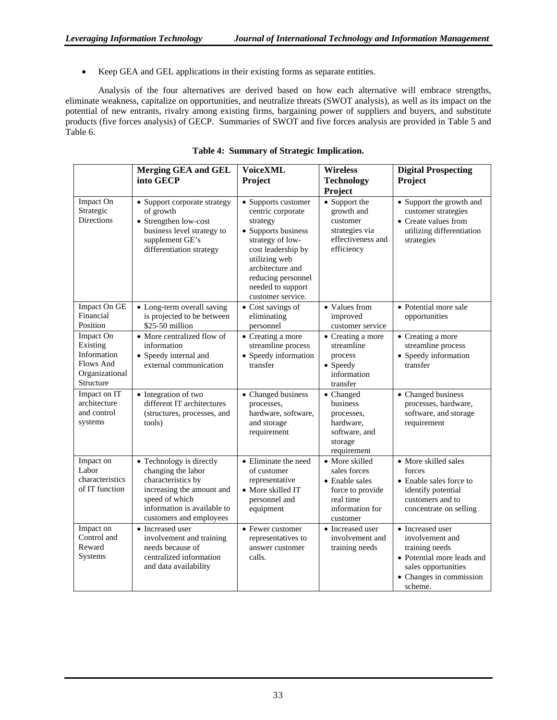• Keep GEA and GEL applications in their existing forms as separate entities.

Analysis of the four alternatives are derived based on how each alternative will embrace strengths, eliminate weakness, capitalize on opportunities, and neutralize threats (SWOT analysis), as well as its impact on the potential of new entrants, rivalry among existing firms, bargaining power of suppliers and buyers, and substitute products (five forces analysis) of GECP. Summaries of SWOT and five forces analysis are provided in Table 5 and Table 6.

|                                                                                  | <b>Merging GEA and GEL</b><br>into GECP                                                                                                                                       | <b>VoiceXML</b><br>Project                                                                                                                                                                                                 | <b>Wireless</b><br><b>Technology</b>                                                                                     | <b>Digital Prospecting</b><br>Project                                                                                                            |
|----------------------------------------------------------------------------------|-------------------------------------------------------------------------------------------------------------------------------------------------------------------------------|----------------------------------------------------------------------------------------------------------------------------------------------------------------------------------------------------------------------------|--------------------------------------------------------------------------------------------------------------------------|--------------------------------------------------------------------------------------------------------------------------------------------------|
|                                                                                  |                                                                                                                                                                               |                                                                                                                                                                                                                            | Project                                                                                                                  |                                                                                                                                                  |
| Impact On<br>Strategic<br><b>Directions</b>                                      | • Support corporate strategy<br>of growth<br>• Strengthen low-cost<br>business level strategy to<br>supplement GE's<br>differentiation strategy                               | • Supports customer<br>centric corporate<br>strategy<br>• Supports business<br>strategy of low-<br>cost leadership by<br>utilizing web<br>architecture and<br>reducing personnel<br>needed to support<br>customer service. | • Support the<br>growth and<br>customer<br>strategies via<br>effectiveness and<br>efficiency                             | • Support the growth and<br>customer strategies<br>• Create values from<br>utilizing differentiation<br>strategies                               |
| Impact On GE<br>Financial<br>Position                                            | • Long-term overall saving<br>is projected to be between<br>\$25-50 million                                                                                                   | • Cost savings of<br>eliminating<br>personnel                                                                                                                                                                              | • Values from<br>improved<br>customer service                                                                            | • Potential more sale<br>opportunities                                                                                                           |
| Impact On<br>Existing<br>Information<br>Flows And<br>Organizational<br>Structure | • More centralized flow of<br>information<br>• Speedy internal and<br>external communication                                                                                  | • Creating a more<br>streamline process<br>• Speedy information<br>transfer                                                                                                                                                | • Creating a more<br>streamline<br>process<br>• Speedy<br>information<br>transfer                                        | • Creating a more<br>streamline process<br>• Speedy information<br>transfer                                                                      |
| Impact on IT<br>architecture<br>and control<br>systems                           | • Integration of two<br>different IT architectures<br>(structures, processes, and<br>tools)                                                                                   | • Changed business<br>processes,<br>hardware, software,<br>and storage<br>requirement                                                                                                                                      | • Changed<br>business<br>processes,<br>hardware,<br>software, and<br>storage<br>requirement                              | • Changed business<br>processes, hardware,<br>software, and storage<br>requirement                                                               |
| Impact on<br>Labor<br>characteristics<br>of IT function                          | • Technology is directly<br>changing the labor<br>characteristics by<br>increasing the amount and<br>speed of which<br>information is available to<br>customers and employees | • Eliminate the need<br>of customer<br>representative<br>• More skilled IT<br>personnel and<br>equipment                                                                                                                   | • More skilled<br>sales forces<br>$\bullet$ Enable sales<br>force to provide<br>real time<br>information for<br>customer | • More skilled sales<br>forces<br>• Enable sales force to<br>identify potential<br>customers and to<br>concentrate on selling                    |
| Impact on<br>Control and<br>Reward<br>Systems                                    | • Increased user<br>involvement and training<br>needs because of<br>centralized information<br>and data availability                                                          | • Fewer customer<br>representatives to<br>answer customer<br>calls.                                                                                                                                                        | • Increased user<br>involvement and<br>training needs                                                                    | • Increased user<br>involvement and<br>training needs<br>• Potential more leads and<br>sales opportunities<br>• Changes in commission<br>scheme. |

**Table 4: Summary of Strategic Implication.**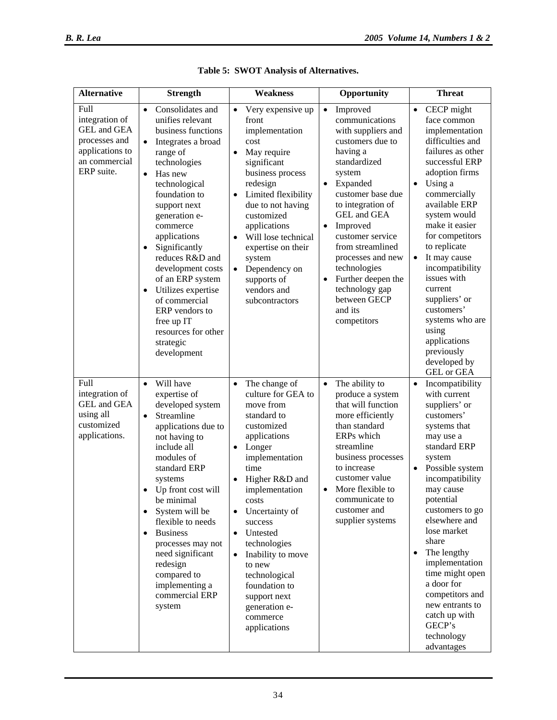| <b>Alternative</b>                                                                                       | <b>Strength</b>                                                                                                                                                                                                                                                                                                                                                                                                                                                                                | <b>Weakness</b>                                                                                                                                                                                                                                                                                                                                                                                                                                     | Opportunity                                                                                                                                                                                                                                                                                                                                                                                                    | <b>Threat</b>                                                                                                                                                                                                                                                                                                                                                                                                                                                        |
|----------------------------------------------------------------------------------------------------------|------------------------------------------------------------------------------------------------------------------------------------------------------------------------------------------------------------------------------------------------------------------------------------------------------------------------------------------------------------------------------------------------------------------------------------------------------------------------------------------------|-----------------------------------------------------------------------------------------------------------------------------------------------------------------------------------------------------------------------------------------------------------------------------------------------------------------------------------------------------------------------------------------------------------------------------------------------------|----------------------------------------------------------------------------------------------------------------------------------------------------------------------------------------------------------------------------------------------------------------------------------------------------------------------------------------------------------------------------------------------------------------|----------------------------------------------------------------------------------------------------------------------------------------------------------------------------------------------------------------------------------------------------------------------------------------------------------------------------------------------------------------------------------------------------------------------------------------------------------------------|
| Full<br>integration of<br>GEL and GEA<br>processes and<br>applications to<br>an commercial<br>ERP suite. | Consolidates and<br>$\bullet$<br>unifies relevant<br>business functions<br>$\bullet$<br>Integrates a broad<br>range of<br>technologies<br>$\bullet$<br>Has new<br>technological<br>foundation to<br>support next<br>generation e-<br>commerce<br>applications<br>Significantly<br>$\bullet$<br>reduces R&D and<br>development costs<br>of an ERP system<br>Utilizes expertise<br>$\bullet$<br>of commercial<br>ERP vendors to<br>free up IT<br>resources for other<br>strategic<br>development | Very expensive up<br>$\bullet$<br>front<br>implementation<br>cost<br>May require<br>$\bullet$<br>significant<br>business process<br>redesign<br>Limited flexibility<br>$\bullet$<br>due to not having<br>customized<br>applications<br>Will lose technical<br>$\bullet$<br>expertise on their<br>system<br>Dependency on<br>$\bullet$<br>supports of<br>vendors and<br>subcontractors                                                               | Improved<br>$\bullet$<br>communications<br>with suppliers and<br>customers due to<br>having a<br>standardized<br>system<br>Expanded<br>$\bullet$<br>customer base due<br>to integration of<br>GEL and GEA<br>Improved<br>$\bullet$<br>customer service<br>from streamlined<br>processes and new<br>technologies<br>Further deepen the<br>$\bullet$<br>technology gap<br>between GECP<br>and its<br>competitors | CECP might<br>$\bullet$<br>face common<br>implementation<br>difficulties and<br>failures as other<br>successful ERP<br>adoption firms<br>Using a<br>$\bullet$<br>commercially<br>available ERP<br>system would<br>make it easier<br>for competitors<br>to replicate<br>It may cause<br>$\bullet$<br>incompatibility<br>issues with<br>current<br>suppliers' or<br>customers'<br>systems who are<br>using<br>applications<br>previously<br>developed by<br>GEL or GEA |
| Full<br>integration of<br>GEL and GEA<br>using all<br>customized<br>applications.                        | Will have<br>$\bullet$<br>expertise of<br>developed system<br>Streamline<br>$\bullet$<br>applications due to<br>not having to<br>include all<br>modules of<br>standard ERP<br>systems<br>• Up front cost will<br>be minimal<br>System will be<br>$\bullet$<br>flexible to needs<br><b>Business</b><br>$\bullet$<br>processes may not<br>need significant<br>redesign<br>compared to<br>implementing a<br>commercial ERP<br>system                                                              | The change of<br>$\bullet$<br>culture for GEA to<br>move from<br>standard to<br>customized<br>applications<br>Longer<br>$\bullet$<br>implementation<br>time<br>Higher R&D and<br>$\bullet$<br>implementation<br>costs<br>Uncertainty of<br>$\bullet$<br>success<br>Untested<br>$\bullet$<br>technologies<br>Inability to move<br>$\bullet$<br>to new<br>technological<br>foundation to<br>support next<br>generation e-<br>commerce<br>applications | The ability to<br>$\bullet$<br>produce a system<br>that will function<br>more efficiently<br>than standard<br>ERPs which<br>streamline<br>business processes<br>to increase<br>customer value<br>More flexible to<br>$\bullet$<br>communicate to<br>customer and<br>supplier systems                                                                                                                           | Incompatibility<br>$\bullet$<br>with current<br>suppliers' or<br>customers'<br>systems that<br>may use a<br>standard ERP<br>system<br>Possible system<br>$\bullet$<br>incompatibility<br>may cause<br>potential<br>customers to go<br>elsewhere and<br>lose market<br>share<br>The lengthy<br>implementation<br>time might open<br>a door for<br>competitors and<br>new entrants to<br>catch up with<br>GECP's<br>technology<br>advantages                           |

|  |  |  |  | Table 5: SWOT Analysis of Alternatives. |
|--|--|--|--|-----------------------------------------|
|--|--|--|--|-----------------------------------------|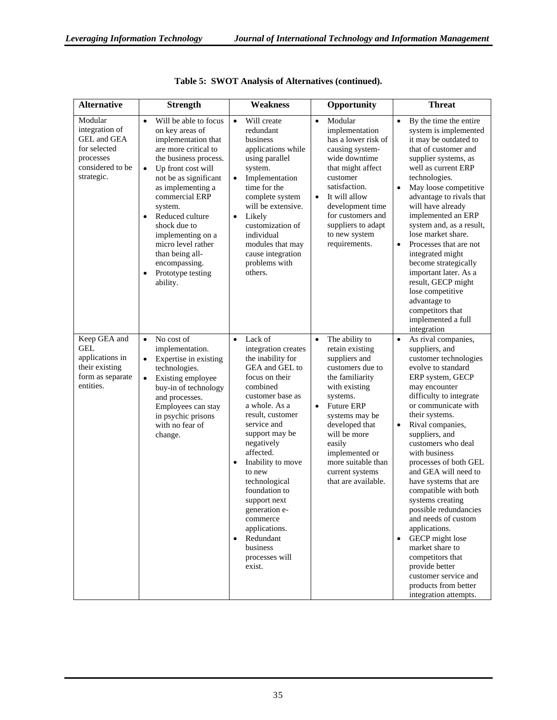| <b>Alternative</b>                                                                                      | <b>Strength</b>                                                                                                                                                                                                                                                                                                                                                                                                          | <b>Weakness</b>                                                                                                                                                                                                                                                                                                                                                                                                                                     | Opportunity                                                                                                                                                                                                                                                                                                    | <b>Threat</b>                                                                                                                                                                                                                                                                                                                                                                                                                                                                                                                                                                                                                                    |
|---------------------------------------------------------------------------------------------------------|--------------------------------------------------------------------------------------------------------------------------------------------------------------------------------------------------------------------------------------------------------------------------------------------------------------------------------------------------------------------------------------------------------------------------|-----------------------------------------------------------------------------------------------------------------------------------------------------------------------------------------------------------------------------------------------------------------------------------------------------------------------------------------------------------------------------------------------------------------------------------------------------|----------------------------------------------------------------------------------------------------------------------------------------------------------------------------------------------------------------------------------------------------------------------------------------------------------------|--------------------------------------------------------------------------------------------------------------------------------------------------------------------------------------------------------------------------------------------------------------------------------------------------------------------------------------------------------------------------------------------------------------------------------------------------------------------------------------------------------------------------------------------------------------------------------------------------------------------------------------------------|
| Modular<br>integration of<br>GEL and GEA<br>for selected<br>processes<br>considered to be<br>strategic. | Will be able to focus<br>$\bullet$<br>on key areas of<br>implementation that<br>are more critical to<br>the business process.<br>Up front cost will<br>$\bullet$<br>not be as significant<br>as implementing a<br>commercial ERP<br>system.<br>Reduced culture<br>$\bullet$<br>shock due to<br>implementing on a<br>micro level rather<br>than being all-<br>encompassing.<br>Prototype testing<br>$\bullet$<br>ability. | Will create<br>$\bullet$<br>redundant<br>business<br>applications while<br>using parallel<br>system.<br>Implementation<br>$\bullet$<br>time for the<br>complete system<br>will be extensive.<br>$\bullet$<br>Likely<br>customization of<br>individual<br>modules that may<br>cause integration<br>problems with<br>others.                                                                                                                          | Modular<br>$\bullet$<br>implementation<br>has a lower risk of<br>causing system-<br>wide downtime<br>that might affect<br>customer<br>satisfaction.<br>It will allow<br>$\bullet$<br>development time<br>for customers and<br>suppliers to adapt<br>to new system<br>requirements.                             | By the time the entire<br>$\bullet$<br>system is implemented<br>it may be outdated to<br>that of customer and<br>supplier systems, as<br>well as current ERP<br>technologies.<br>May loose competitive<br>$\bullet$<br>advantage to rivals that<br>will have already<br>implemented an ERP<br>system and, as a result,<br>lose market share.<br>Processes that are not<br>$\bullet$<br>integrated might<br>become strategically<br>important later. As a<br>result, GECP might<br>lose competitive<br>advantage to<br>competitors that<br>implemented a full<br>integration                                                                      |
| Keep GEA and<br><b>GEL</b><br>applications in<br>their existing<br>form as separate<br>entities.        | No cost of<br>$\bullet$<br>implementation.<br>Expertise in existing<br>$\bullet$<br>technologies.<br>Existing employee<br>$\bullet$<br>buy-in of technology<br>and processes.<br>Employees can stay<br>in psychic prisons<br>with no fear of<br>change.                                                                                                                                                                  | Lack of<br>$\bullet$<br>integration creates<br>the inability for<br>GEA and GEL to<br>focus on their<br>combined<br>customer base as<br>a whole. As a<br>result, customer<br>service and<br>support may be<br>negatively<br>affected.<br>Inability to move<br>$\bullet$<br>to new<br>technological<br>foundation to<br>support next<br>generation e-<br>commerce<br>applications.<br>Redundant<br>$\bullet$<br>business<br>processes will<br>exist. | The ability to<br>$\bullet$<br>retain existing<br>suppliers and<br>customers due to<br>the familiarity<br>with existing<br>systems.<br>Future ERP<br>$\bullet$<br>systems may be<br>developed that<br>will be more<br>easily<br>implemented or<br>more suitable than<br>current systems<br>that are available. | As rival companies,<br>$\bullet$<br>suppliers, and<br>customer technologies<br>evolve to standard<br>ERP system, GECP<br>may encounter<br>difficulty to integrate<br>or communicate with<br>their systems.<br>Rival companies,<br>$\bullet$<br>suppliers, and<br>customers who deal<br>with business<br>processes of both GEL<br>and GEA will need to<br>have systems that are<br>compatible with both<br>systems creating<br>possible redundancies<br>and needs of custom<br>applications.<br>GECP might lose<br>market share to<br>competitors that<br>provide better<br>customer service and<br>products from better<br>integration attempts. |

|  |  | Table 5: SWOT Analysis of Alternatives (continued). |  |
|--|--|-----------------------------------------------------|--|
|  |  |                                                     |  |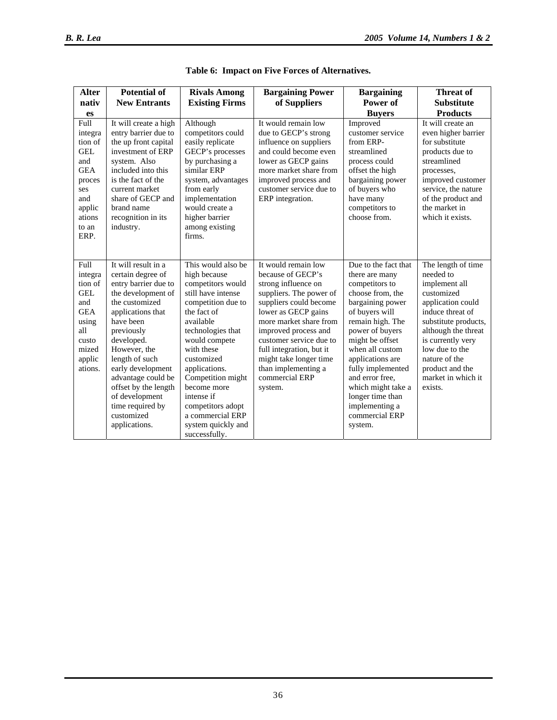| <b>Alter</b><br>nativ<br>es<br>Full<br>integra<br>tion of<br><b>GEL</b>                                              | <b>Potential of</b><br><b>New Entrants</b><br>It will create a high<br>entry barrier due to<br>the up front capital<br>investment of ERP                                                                                                                                                                                        | <b>Rivals Among</b><br><b>Existing Firms</b><br>Although<br>competitors could<br>easily replicate<br>GECP's processes                                                                                                                                                                                         | <b>Bargaining Power</b><br>of Suppliers<br>It would remain low<br>due to GECP's strong<br>influence on suppliers<br>and could become even                                                                                                                                                                                          | <b>Bargaining</b><br>Power of<br><b>Buyers</b><br>Improved<br>customer service<br>from ERP-<br>streamlined                                                                                                                                                                                                                                | <b>Threat of</b><br><b>Substitute</b><br><b>Products</b><br>It will create an<br>even higher barrier<br>for substitute<br>products due to                                                                                                                          |
|----------------------------------------------------------------------------------------------------------------------|---------------------------------------------------------------------------------------------------------------------------------------------------------------------------------------------------------------------------------------------------------------------------------------------------------------------------------|---------------------------------------------------------------------------------------------------------------------------------------------------------------------------------------------------------------------------------------------------------------------------------------------------------------|------------------------------------------------------------------------------------------------------------------------------------------------------------------------------------------------------------------------------------------------------------------------------------------------------------------------------------|-------------------------------------------------------------------------------------------------------------------------------------------------------------------------------------------------------------------------------------------------------------------------------------------------------------------------------------------|--------------------------------------------------------------------------------------------------------------------------------------------------------------------------------------------------------------------------------------------------------------------|
| and<br><b>GEA</b><br>proces<br>ses<br>and<br>applic<br>ations<br>to an<br>ERP.                                       | system. Also<br>included into this<br>is the fact of the<br>current market<br>share of GECP and<br>brand name<br>recognition in its<br>industry.                                                                                                                                                                                | by purchasing a<br>similar ERP<br>system, advantages<br>from early<br>implementation<br>would create a<br>higher barrier<br>among existing<br>firms.                                                                                                                                                          | lower as GECP gains<br>more market share from<br>improved process and<br>customer service due to<br>ERP integration.                                                                                                                                                                                                               | process could<br>offset the high<br>bargaining power<br>of buyers who<br>have many<br>competitors to<br>choose from.                                                                                                                                                                                                                      | streamlined<br>processes,<br>improved customer<br>service, the nature<br>of the product and<br>the market in<br>which it exists.                                                                                                                                   |
| Full<br>integra<br>tion of<br><b>GEL</b><br>and<br><b>GEA</b><br>using<br>all<br>custo<br>mized<br>applic<br>ations. | It will result in a<br>certain degree of<br>entry barrier due to<br>the development of<br>the customized<br>applications that<br>have been<br>previously<br>developed.<br>However, the<br>length of such<br>early development<br>advantage could be<br>offset by the length<br>of development<br>time required by<br>customized | This would also be<br>high because<br>competitors would<br>still have intense<br>competition due to<br>the fact of<br>available<br>technologies that<br>would compete<br>with these<br>customized<br>applications.<br>Competition might<br>become more<br>intense if<br>competitors adopt<br>a commercial ERP | It would remain low<br>because of GECP's<br>strong influence on<br>suppliers. The power of<br>suppliers could become<br>lower as GECP gains<br>more market share from<br>improved process and<br>customer service due to<br>full integration, but it<br>might take longer time<br>than implementing a<br>commercial ERP<br>system. | Due to the fact that<br>there are many<br>competitors to<br>choose from, the<br>bargaining power<br>of buyers will<br>remain high. The<br>power of buyers<br>might be offset<br>when all custom<br>applications are<br>fully implemented<br>and error free,<br>which might take a<br>longer time than<br>implementing a<br>commercial ERP | The length of time<br>needed to<br>implement all<br>customized<br>application could<br>induce threat of<br>substitute products,<br>although the threat<br>is currently very<br>low due to the<br>nature of the<br>product and the<br>market in which it<br>exists. |
|                                                                                                                      | applications.                                                                                                                                                                                                                                                                                                                   | system quickly and<br>successfully.                                                                                                                                                                                                                                                                           |                                                                                                                                                                                                                                                                                                                                    | system.                                                                                                                                                                                                                                                                                                                                   |                                                                                                                                                                                                                                                                    |

|  |  |  |  |  | Table 6: Impact on Five Forces of Alternatives. |
|--|--|--|--|--|-------------------------------------------------|
|--|--|--|--|--|-------------------------------------------------|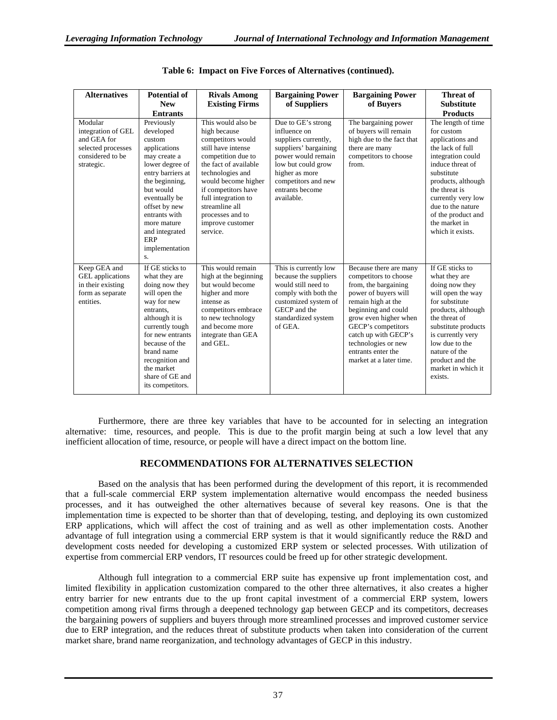| <b>Alternatives</b>                                                                                  | <b>Potential of</b><br><b>New</b><br><b>Entrants</b>                                                                                                                                                                                                             | <b>Rivals Among</b><br><b>Existing Firms</b>                                                                                                                                                                                                                                                | <b>Bargaining Power</b><br>of Suppliers                                                                                                                                                                   | <b>Bargaining Power</b><br>of Buvers                                                                                                                                                                                                                                                        | Threat of<br><b>Substitute</b><br><b>Products</b>                                                                                                                                                                                                                            |
|------------------------------------------------------------------------------------------------------|------------------------------------------------------------------------------------------------------------------------------------------------------------------------------------------------------------------------------------------------------------------|---------------------------------------------------------------------------------------------------------------------------------------------------------------------------------------------------------------------------------------------------------------------------------------------|-----------------------------------------------------------------------------------------------------------------------------------------------------------------------------------------------------------|---------------------------------------------------------------------------------------------------------------------------------------------------------------------------------------------------------------------------------------------------------------------------------------------|------------------------------------------------------------------------------------------------------------------------------------------------------------------------------------------------------------------------------------------------------------------------------|
| Modular<br>integration of GEL<br>and GEA for<br>selected processes<br>considered to be<br>strategic. | Previously<br>developed<br>custom<br>applications<br>may create a<br>lower degree of<br>entry barriers at<br>the beginning,<br>but would<br>eventually be<br>offset by new<br>entrants with<br>more mature<br>and integrated<br>ERP<br>implementation<br>S.      | This would also be<br>high because<br>competitors would<br>still have intense<br>competition due to<br>the fact of available<br>technologies and<br>would become higher<br>if competitors have<br>full integration to<br>streamline all<br>processes and to<br>improve customer<br>service. | Due to GE's strong<br>influence on<br>suppliers currently,<br>suppliers' bargaining<br>power would remain<br>low but could grow<br>higher as more<br>competitors and new<br>entrants become<br>available. | The bargaining power<br>of buyers will remain<br>high due to the fact that<br>there are many<br>competitors to choose<br>from.                                                                                                                                                              | The length of time<br>for custom<br>applications and<br>the lack of full<br>integration could<br>induce threat of<br>substitute<br>products, although<br>the threat is<br>currently very low<br>due to the nature<br>of the product and<br>the market in<br>which it exists. |
| Keep GEA and<br><b>GEL</b> applications<br>in their existing<br>form as separate<br>entities.        | If GE sticks to<br>what they are<br>doing now they<br>will open the<br>way for new<br>entrants.<br>although it is<br>currently tough<br>for new entrants<br>because of the<br>brand name<br>recognition and<br>the market<br>share of GE and<br>its competitors. | This would remain<br>high at the beginning<br>but would become<br>higher and more<br>intense as<br>competitors embrace<br>to new technology<br>and become more<br>integrate than GEA<br>and GEL.                                                                                            | This is currently low<br>because the suppliers<br>would still need to<br>comply with both the<br>customized system of<br>GECP and the<br>standardized system<br>of GEA.                                   | Because there are many<br>competitors to choose<br>from, the bargaining<br>power of buyers will<br>remain high at the<br>beginning and could<br>grow even higher when<br>GECP's competitors<br>catch up with GECP's<br>technologies or new<br>entrants enter the<br>market at a later time. | If GE sticks to<br>what they are<br>doing now they<br>will open the way<br>for substitute<br>products, although<br>the threat of<br>substitute products<br>is currently very<br>low due to the<br>nature of the<br>product and the<br>market in which it<br>exists.          |

|  | Table 6: Impact on Five Forces of Alternatives (continued). |  |
|--|-------------------------------------------------------------|--|
|  |                                                             |  |

Furthermore, there are three key variables that have to be accounted for in selecting an integration alternative: time, resources, and people. This is due to the profit margin being at such a low level that any inefficient allocation of time, resource, or people will have a direct impact on the bottom line.

#### **RECOMMENDATIONS FOR ALTERNATIVES SELECTION**

Based on the analysis that has been performed during the development of this report, it is recommended that a full-scale commercial ERP system implementation alternative would encompass the needed business processes, and it has outweighed the other alternatives because of several key reasons. One is that the implementation time is expected to be shorter than that of developing, testing, and deploying its own customized ERP applications, which will affect the cost of training and as well as other implementation costs. Another advantage of full integration using a commercial ERP system is that it would significantly reduce the R&D and development costs needed for developing a customized ERP system or selected processes. With utilization of expertise from commercial ERP vendors, IT resources could be freed up for other strategic development.

Although full integration to a commercial ERP suite has expensive up front implementation cost, and limited flexibility in application customization compared to the other three alternatives, it also creates a higher entry barrier for new entrants due to the up front capital investment of a commercial ERP system, lowers competition among rival firms through a deepened technology gap between GECP and its competitors, decreases the bargaining powers of suppliers and buyers through more streamlined processes and improved customer service due to ERP integration, and the reduces threat of substitute products when taken into consideration of the current market share, brand name reorganization, and technology advantages of GECP in this industry.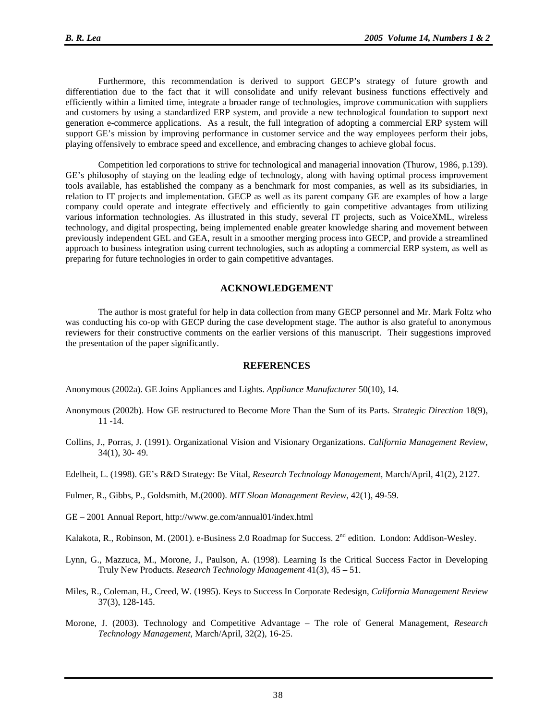Furthermore, this recommendation is derived to support GECP's strategy of future growth and differentiation due to the fact that it will consolidate and unify relevant business functions effectively and efficiently within a limited time, integrate a broader range of technologies, improve communication with suppliers and customers by using a standardized ERP system, and provide a new technological foundation to support next generation e-commerce applications. As a result, the full integration of adopting a commercial ERP system will support GE's mission by improving performance in customer service and the way employees perform their jobs, playing offensively to embrace speed and excellence, and embracing changes to achieve global focus.

Competition led corporations to strive for technological and managerial innovation (Thurow, 1986, p.139). GE's philosophy of staying on the leading edge of technology, along with having optimal process improvement tools available, has established the company as a benchmark for most companies, as well as its subsidiaries, in relation to IT projects and implementation. GECP as well as its parent company GE are examples of how a large company could operate and integrate effectively and efficiently to gain competitive advantages from utilizing various information technologies. As illustrated in this study, several IT projects, such as VoiceXML, wireless technology, and digital prospecting, being implemented enable greater knowledge sharing and movement between previously independent GEL and GEA, result in a smoother merging process into GECP, and provide a streamlined approach to business integration using current technologies, such as adopting a commercial ERP system, as well as preparing for future technologies in order to gain competitive advantages.

#### **ACKNOWLEDGEMENT**

The author is most grateful for help in data collection from many GECP personnel and Mr. Mark Foltz who was conducting his co-op with GECP during the case development stage. The author is also grateful to anonymous reviewers for their constructive comments on the earlier versions of this manuscript. Their suggestions improved the presentation of the paper significantly.

#### **REFERENCES**

Anonymous (2002a). GE Joins Appliances and Lights. *Appliance Manufacturer* 50(10), 14.

- Anonymous (2002b). How GE restructured to Become More Than the Sum of its Parts. *Strategic Direction* 18(9), 11 -14.
- Collins, J., Porras, J. (1991). Organizational Vision and Visionary Organizations. *California Management Review*, 34(1), 30- 49.
- Edelheit, L. (1998). GE's R&D Strategy: Be Vital, *Research Technology Management*, March/April, 41(2), 2127.
- Fulmer, R., Gibbs, P., Goldsmith, M.(2000). *MIT Sloan Management Review*, 42(1), 49-59.
- GE 2001 Annual Report, http://www.ge.com/annual01/index.html
- Kalakota, R., Robinson, M. (2001). e-Business 2.0 Roadmap for Success. 2<sup>nd</sup> edition. London: Addison-Wesley.
- Lynn, G., Mazzuca, M., Morone, J., Paulson, A. (1998). Learning Is the Critical Success Factor in Developing Truly New Products. *Research Technology Management* 41(3), 45 – 51.
- Miles, R., Coleman, H., Creed, W. (1995). Keys to Success In Corporate Redesign, *California Management Review* 37(3), 128-145.
- Morone, J. (2003). Technology and Competitive Advantage The role of General Management, *Research Technology Management*, March/April, 32(2), 16-25.